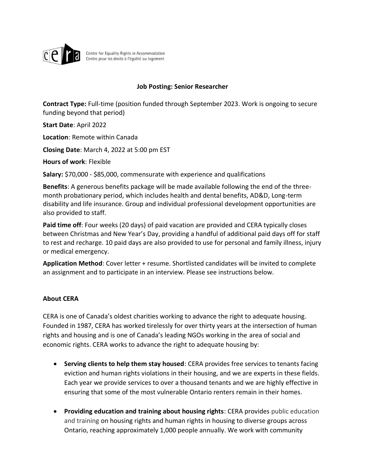

Centre for Equality Rights in Accommodation<br>Centre pour les droits à l'égalité au logement

#### **Job Posting: Senior Researcher**

**Contract Type:** Full-time (position funded through September 2023. Work is ongoing to secure funding beyond that period)

**Start Date**: April 2022

**Location**: Remote within Canada

**Closing Date**: March 4, 2022 at 5:00 pm EST

**Hours of work**: Flexible

**Salary:** \$70,000 - \$85,000, commensurate with experience and qualifications

**Benefits**: A generous benefits package will be made available following the end of the threemonth probationary period, which includes health and dental benefits, AD&D, Long-term disability and life insurance. Group and individual professional development opportunities are also provided to staff.

**Paid time off**: Four weeks (20 days) of paid vacation are provided and CERA typically closes between Christmas and New Year's Day, providing a handful of additional paid days off for staff to rest and recharge. 10 paid days are also provided to use for personal and family illness, injury or medical emergency.

**Application Method**: Cover letter + resume. Shortlisted candidates will be invited to complete an assignment and to participate in an interview. Please see instructions below.

#### **About CERA**

CERA is one of Canada's oldest charities working to advance the right to adequate housing. Founded in 1987, CERA has worked tirelessly for over thirty years at the intersection of human rights and housing and is one of Canada's leading NGOs working in the area of social and economic rights. CERA works to advance the right to adequate housing by:

- **Serving clients to help them stay housed**: CERA provides free services to tenants facing eviction and human rights violations in their housing, and we are experts in these fields. Each year we provide services to over a thousand tenants and we are highly effective in ensuring that some of the most vulnerable Ontario renters remain in their homes.
- **Providing education and training about housing rights**: CERA provides public education and training on housing rights and human rights in housing to diverse groups across Ontario, reaching approximately 1,000 people annually. We work with community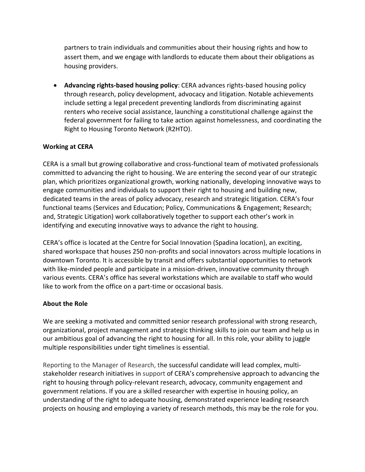partners to train individuals and communities about their housing rights and how to assert them, and we engage with landlords to educate them about their obligations as housing providers.

• **Advancing rights-based housing policy**: CERA advances rights-based housing policy through research, policy development, advocacy and litigation. Notable achievements include setting a legal precedent preventing landlords from discriminating against renters who receive social assistance, launching a constitutional challenge against the federal government for failing to take action against homelessness, and coordinating the Right to Housing Toronto Network (R2HTO).

## **Working at CERA**

CERA is a small but growing collaborative and cross-functional team of motivated professionals committed to advancing the right to housing. We are entering the second year of our strategic plan, which prioritizes organizational growth, working nationally, developing innovative ways to engage communities and individuals to support their right to housing and building new, dedicated teams in the areas of policy advocacy, research and strategic litigation. CERA's four functional teams (Services and Education; Policy, Communications & Engagement; Research; and, Strategic Litigation) work collaboratively together to support each other's work in identifying and executing innovative ways to advance the right to housing.

CERA's office is located at the Centre for Social Innovation (Spadina location), an exciting, shared workspace that houses 250 non-profits and social innovators across multiple locations in downtown Toronto. It is accessible by transit and offers substantial opportunities to network with like-minded people and participate in a mission-driven, innovative community through various events. CERA's office has several workstations which are available to staff who would like to work from the office on a part-time or occasional basis.

### **About the Role**

We are seeking a motivated and committed senior research professional with strong research, organizational, project management and strategic thinking skills to join our team and help us in our ambitious goal of advancing the right to housing for all. In this role, your ability to juggle multiple responsibilities under tight timelines is essential.

Reporting to the Manager of Research, the successful candidate will lead complex, multistakeholder research initiatives in support of CERA's comprehensive approach to advancing the right to housing through policy-relevant research, advocacy, community engagement and government relations. If you are a skilled researcher with expertise in housing policy, an understanding of the right to adequate housing, demonstrated experience leading research projects on housing and employing a variety of research methods, this may be the role for you.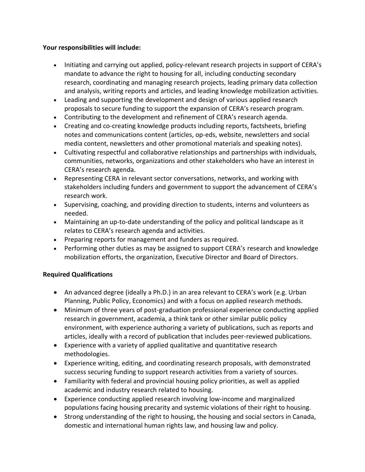### **Your responsibilities will include:**

- Initiating and carrying out applied, policy-relevant research projects in support of CERA's mandate to advance the right to housing for all, including conducting secondary research, coordinating and managing research projects, leading primary data collection and analysis, writing reports and articles, and leading knowledge mobilization activities.
- Leading and supporting the development and design of various applied research proposals to secure funding to support the expansion of CERA's research program.
- Contributing to the development and refinement of CERA's research agenda.
- Creating and co-creating knowledge products including reports, factsheets, briefing notes and communications content (articles, op-eds, website, newsletters and social media content, newsletters and other promotional materials and speaking notes).
- Cultivating respectful and collaborative relationships and partnerships with individuals, communities, networks, organizations and other stakeholders who have an interest in CERA's research agenda.
- Representing CERA in relevant sector conversations, networks, and working with stakeholders including funders and government to support the advancement of CERA's research work.
- Supervising, coaching, and providing direction to students, interns and volunteers as needed.
- Maintaining an up-to-date understanding of the policy and political landscape as it relates to CERA's research agenda and activities.
- Preparing reports for management and funders as required.
- Performing other duties as may be assigned to support CERA's research and knowledge mobilization efforts, the organization, Executive Director and Board of Directors.

### **Required Qualifications**

- An advanced degree (ideally a Ph.D.) in an area relevant to CERA's work (e.g. Urban Planning, Public Policy, Economics) and with a focus on applied research methods.
- Minimum of three years of post-graduation professional experience conducting applied research in government, academia, a think tank or other similar public policy environment, with experience authoring a variety of publications, such as reports and articles, ideally with a record of publication that includes peer-reviewed publications.
- Experience with a variety of applied qualitative and quantitative research methodologies.
- Experience writing, editing, and coordinating research proposals, with demonstrated success securing funding to support research activities from a variety of sources.
- Familiarity with federal and provincial housing policy priorities, as well as applied academic and industry research related to housing.
- Experience conducting applied research involving low-income and marginalized populations facing housing precarity and systemic violations of their right to housing.
- Strong understanding of the right to housing, the housing and social sectors in Canada, domestic and international human rights law, and housing law and policy.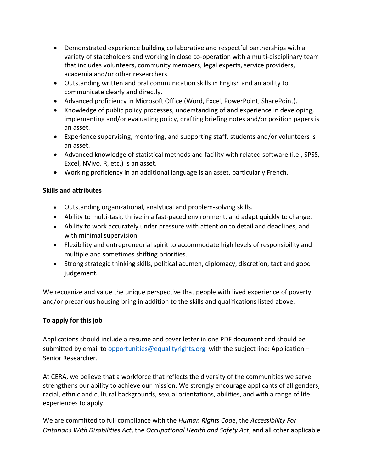- Demonstrated experience building collaborative and respectful partnerships with a variety of stakeholders and working in close co-operation with a multi-disciplinary team that includes volunteers, community members, legal experts, service providers, academia and/or other researchers.
- Outstanding written and oral communication skills in English and an ability to communicate clearly and directly.
- Advanced proficiency in Microsoft Office (Word, Excel, PowerPoint, SharePoint).
- Knowledge of public policy processes, understanding of and experience in developing, implementing and/or evaluating policy, drafting briefing notes and/or position papers is an asset.
- Experience supervising, mentoring, and supporting staff, students and/or volunteers is an asset.
- Advanced knowledge of statistical methods and facility with related software (i.e., SPSS, Excel, NVivo, R, etc.) is an asset.
- Working proficiency in an additional language is an asset, particularly French.

## **Skills and attributes**

- Outstanding organizational, analytical and problem-solving skills.
- Ability to multi-task, thrive in a fast-paced environment, and adapt quickly to change.
- Ability to work accurately under pressure with attention to detail and deadlines, and with minimal supervision.
- Flexibility and entrepreneurial spirit to accommodate high levels of responsibility and multiple and sometimes shifting priorities.
- Strong strategic thinking skills, political acumen, diplomacy, discretion, tact and good judgement.

We recognize and value the unique perspective that people with lived experience of poverty and/or precarious housing bring in addition to the skills and qualifications listed above.

# **To apply for this job**

Applications should include a resume and cover letter in one PDF document and should be submitted by email to [opportunities@equalityrights.org](mailto:opportunities@equalityrights.org) with the subject line: Application – Senior Researcher.

At CERA, we believe that a workforce that reflects the diversity of the communities we serve strengthens our ability to achieve our mission. We strongly encourage applicants of all genders, racial, ethnic and cultural backgrounds, sexual orientations, abilities, and with a range of life experiences to apply.

We are committed to full compliance with the *Human Rights Code*, the *Accessibility For Ontarians With Disabilities Act*, the *Occupational Health and Safety Act*, and all other applicable